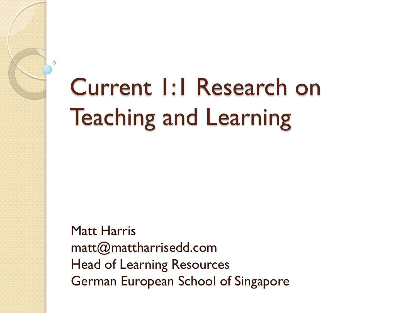## Current 1:1 Research on Teaching and Learning

 $\Omega$ 

Matt Harris matt@mattharrisedd.com Head of Learning Resources German European School of Singapore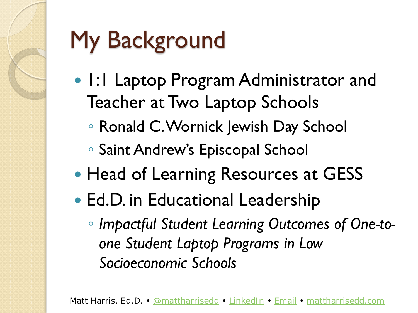# My Background

- 1:1 Laptop Program Administrator and Teacher at Two Laptop Schools
	- Ronald C. Wornick Jewish Day School
	- Saint Andrew's Episcopal School
- Head of Learning Resources at GESS
- Ed.D. in Educational Leadership
	- *Impactful Student Learning Outcomes of One-toone Student Laptop Programs in Low Socioeconomic Schools*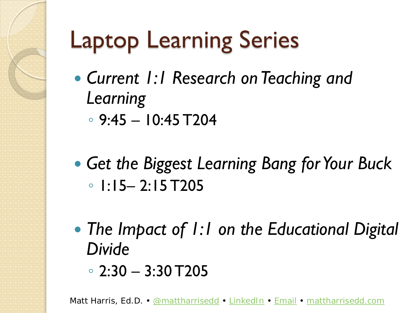## Laptop Learning Series

- *Current 1:1 Research on Teaching and Learning*
	- 9:45 10:45 T204
- *Get the Biggest Learning Bang for Your Buck* ◦ 1:15– 2:15 T205
- *The Impact of 1:1 on the Educational Digital Divide*
	- 2:30 3:30 T205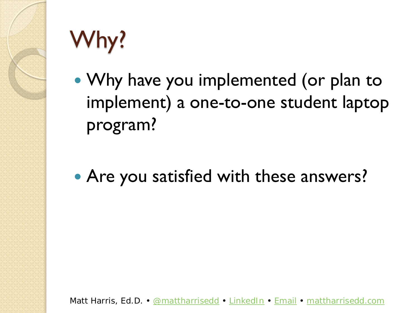

# Why?

- Why have you implemented (or plan to implement) a one-to-one student laptop program?
- Are you satisfied with these answers?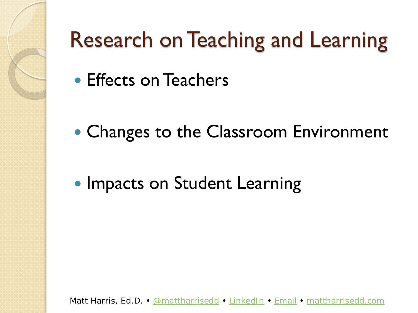

#### Research on Teaching and Learning

- Effects on Teachers
- Changes to the Classroom Environment
- Impacts on Student Learning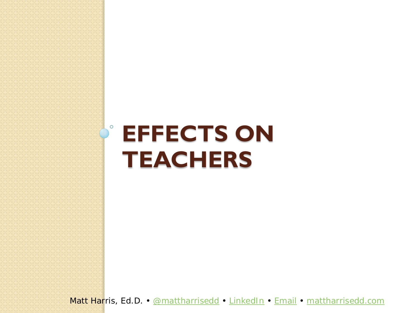#### **EFFECTS ON TEACHERS**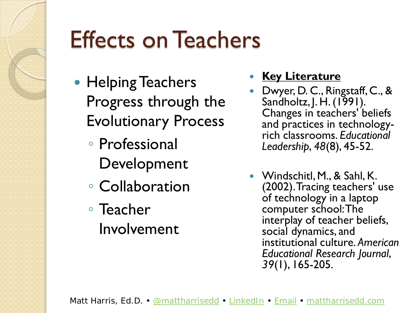

#### Effects on Teachers

- Helping Teachers Progress through the Evolutionary Process
	- Professional Development
	- Collaboration
	- Teacher Involvement
- **Key Literature**
- Dwyer, D. C., Ringstaff, C., & Sandholtz, J. H. (1991). Changes in teachers' beliefs and practices in technology- rich classrooms. *Educational Leadership*, *48*(8), 45-52.
- Windschitl, M., & Sahl, K. (2002). Tracing teachers' use of technology in a laptop computer school: The interplay of teacher beliefs, social dynamics, and institutional culture. *American Educational Research Journal*, *39*(1), 165-205.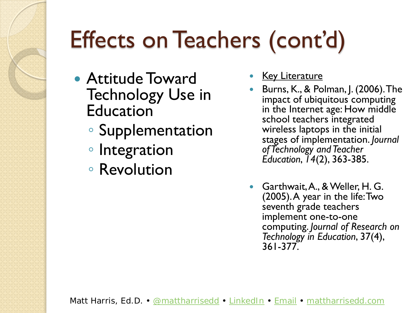# Effects on Teachers (cont'd)

- Attitude Toward Technology Use in Education
	- Supplementation
	- Integration
	- Revolution
- Key Literature
- Burns, K., & Polman, J. (2006). The impact of ubiquitous computing in the Internet age: How middle school teachers integrated wireless laptops in the initial stages of implementation. *Journal of Technology and Teacher Education*, *14*(2), 363-385.
- Garthwait, A., & Weller, H. G. (2005). A year in the life: Two seventh grade teachers implement one-to-one computing. *Journal of Research on Technology in Education*, 37(4), 361-377.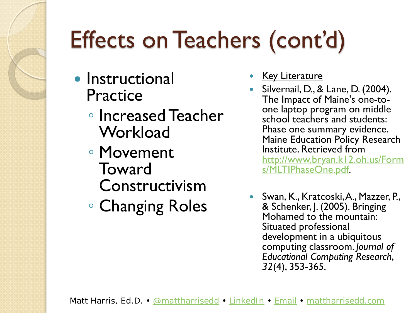# Effects on Teachers (cont'd)

- **•** Instructional Practice
	- Increased Teacher **Workload**
	- Movement **Toward** Constructivism
	- Changing Roles
- Key Literature
- Silvernail, D., & Lane, D. (2004).<br>The Impact of Maine's one-toone laptop program on middle school teachers and students: Phase one summary evidence. Maine Education Policy Research Institute. Retrieved from [http://www.bryan.k12.oh.us/Form](http://www.bryan.k12.oh.us/Forms/MLTIPhaseOne.pdf) s/MLTIPhaseOne.pdf.
- Swan, K., Kratcoski, A., Mazzer, P., & Schenker, J. (2005). Bringing Mohamed to the mountain: Situated professional development in a ubiquitous computing classroom. *Journal of Educational Computing Research*, *32*(4), 353-365.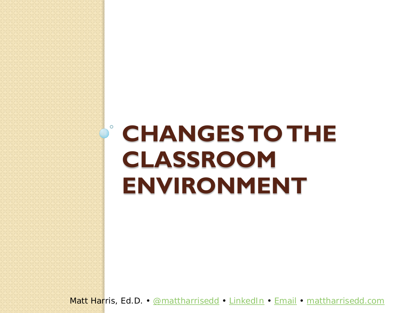#### **CHANGES TO THE CLASSROOM ENVIRONMENT**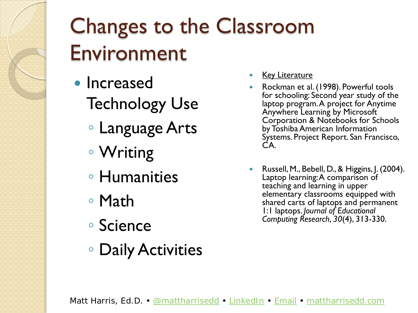#### Changes to the Classroom Environment

- **Increased** Technology Use
	- Language Arts
	- Writing
	- Humanities
	- Math
	- Science
	- Daily Activities
- **Key Literature**
- Rockman et al. (1998). Powerful tools for schooling: Second year study of the laptop program. A project for Anytime Anywhere Learning by Microsoft Corporation & Notebooks for Schools by Toshiba American Information Systems. Project Report. San Francisco, CA.
- Russell, M., Bebell, D., & Higgins, J. (2004). Laptop learning: A comparison of teaching and learning in upper elementary classrooms equipped with shared carts of laptops and permanent 1:1 laptops. *Journal of Educational Computing Research*, *30*(4), 313-330.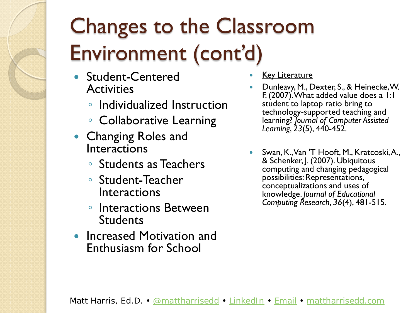### Changes to the Classroom Environment (cont'd)

- Student-Centered **Activities** 
	- Individualized Instruction
	- Collaborative Learning
- Changing Roles and Interactions
	- Students as Teachers
	- Student-Teacher **Interactions**
	- Interactions Between **Students**
- Increased Motivation and Enthusiasm for School
- **Key Literature**
- Dunleavy, M., Dexter, S., & Heinecke, W. F. (2007). What added value does a 1:1 student to laptop ratio bring to technology-supported teaching and learning? *Journal of Computer Assisted Learning*, *23*(5), 440-452.
- Swan, K., Van 'T Hooft, M., Kratcoski, A., & Schenker, J. (2007). Ubiquitous computing and changing pedagogical possibilities: Representations, conceptualizations and uses of knowledge. *Journal of Educational Computing Research*, *36*(4), 481-515.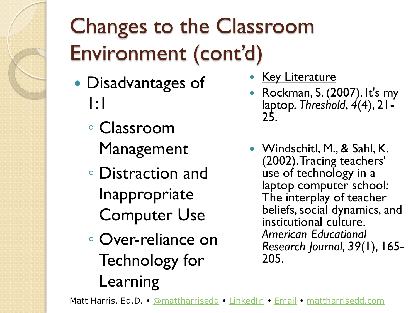### Changes to the Classroom Environment (cont'd)

- Disadvantages of 1:1
	- Classroom Management
	- Distraction and Inappropriate Computer Use
	- Over-reliance on Technology for Learning
- Key Literature
- Rockman, S. (2007). It's my laptop. *Threshold*, *4*(4), 21- 25.
- Windschitl, M., & Sahl, K. (2002). Tracing teachers' use of technology in a laptop computer school: The interplay of teacher beliefs, social dynamics, and institutional culture. *American Educational Research Journal*, *39*(1), 165- 205.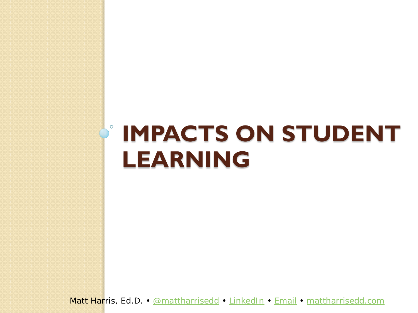#### $\circ$ **IMPACTS ON STUDENT LEARNING**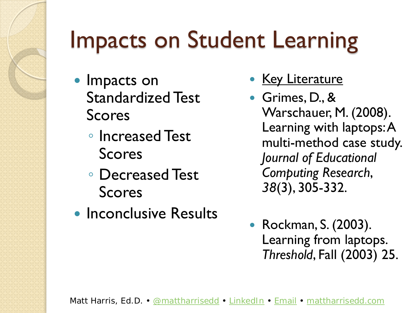## Impacts on Student Learning

- Impacts on Standardized Test Scores
	- Increased Test Scores
	- Decreased Test Scores
- Inconclusive Results
- Key Literature
- Grimes, D., & Warschauer, M. (2008). Learning with laptops: A multi-method case study. *Journal of Educational Computing Research*, *38*(3), 305-332.
- Rockman, S. (2003). Learning from laptops. *Threshold*, Fall (2003) 25.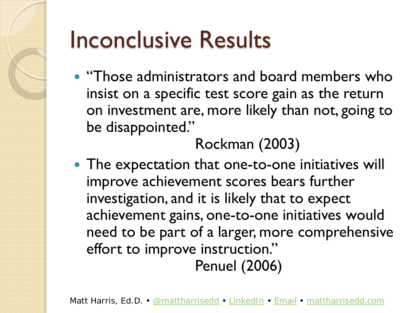## Inconclusive Results

• "Those administrators and board members who insist on a specific test score gain as the return on investment are, more likely than not, going to be disappointed."

#### Rockman (2003)

• The expectation that one-to-one initiatives will improve achievement scores bears further investigation, and it is likely that to expect achievement gains, one-to-one initiatives would need to be part of a larger, more comprehensive effort to improve instruction." Penuel (2006)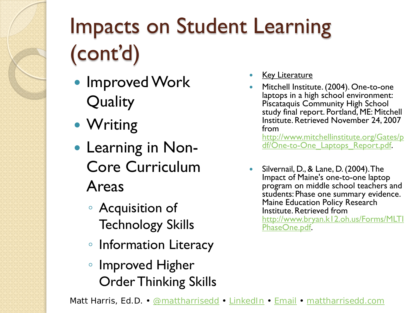## Impacts on Student Learning (cont'd)

- **Improved Work Quality**
- Writing
- Learning in Non-Core Curriculum Areas
	- Acquisition of Technology Skills
	- Information Literacy
	- Improved Higher Order Thinking Skills
- **Key Literature**
- Mitchell Institute. (2004). One-to-one laptops in a high school environment: Piscataquis Community High School study final report. Portland, ME: Mitchell Institute. Retrieved November 24, 2007 from

http://www.mitchellinstitute.org/Gates/p df/One-to-One Laptops Report.pdf.

 Silvernail, D., & Lane, D. (2004). The Impact of Maine's one-to-one laptop program on middle school teachers and students: Phase one summary evidence. Maine Education Policy Research Institute. Retrieved from [http://www.bryan.k12.oh.us/Forms/MLTI](http://www.bryan.k12.oh.us/Forms/MLTIPhaseOne.pdf) PhaseOne.pdf.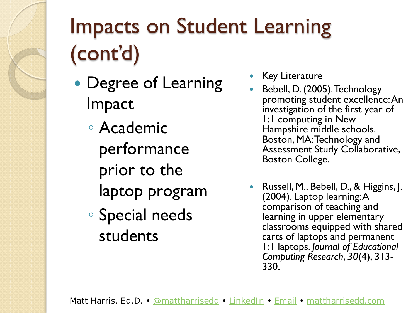## Impacts on Student Learning (cont'd)

- Degree of Learning Impact
	- Academic performance prior to the laptop program
	- Special needs students
- Key Literature
- Bebell, D. (2005). Technology promoting student excellence: An investigation of the first year of 1:1 computing in New Hampshire middle schools. Boston, MA: Technology and Assessment Study Collaborative, Boston College.
- Russell, M., Bebell, D., & Higgins, J. (2004). Laptop learning: A comparison of teaching and learning in upper elementary classrooms equipped with shared carts of laptops and permanent 1:1 laptops. *Journal of Educational Computing Research*, *30*(4), 313- 330.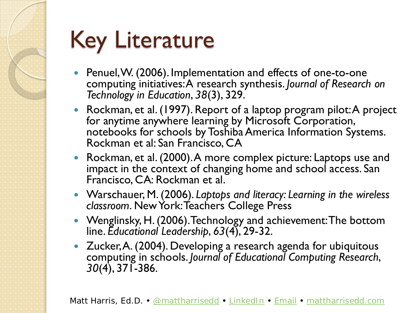## Key Literature

- Penuel, W. (2006). Implementation and effects of one-to-one computing initiatives: A research synthesis. *Journal of Research on Technology in Education*, *38*(3), 329.
- Rockman, et al. (1997). Report of a laptop program pilot: A project for anytime anywhere learning by Microsoft Corporation, notebooks for schools by Toshiba America Information Systems. Rockman et al: San Francisco, CA
- Rockman, et al. (2000). A more complex picture: Laptops use and impact in the context of changing home and school access. San Francisco, CA: Rockman et al.
- Warschauer, M. (2006). *Laptops and literacy: Learning in the wireless classroom*. New York: Teachers College Press
- Wenglinsky, H. (2006). Technology and achievement: The bottom line. *Educational Leadership*, *63*(4), 29-32.
- Zucker, A. (2004). Developing a research agenda for ubiquitous computing in schools. *Journal of Educational Computing Research*, *30*(4), 371-386.